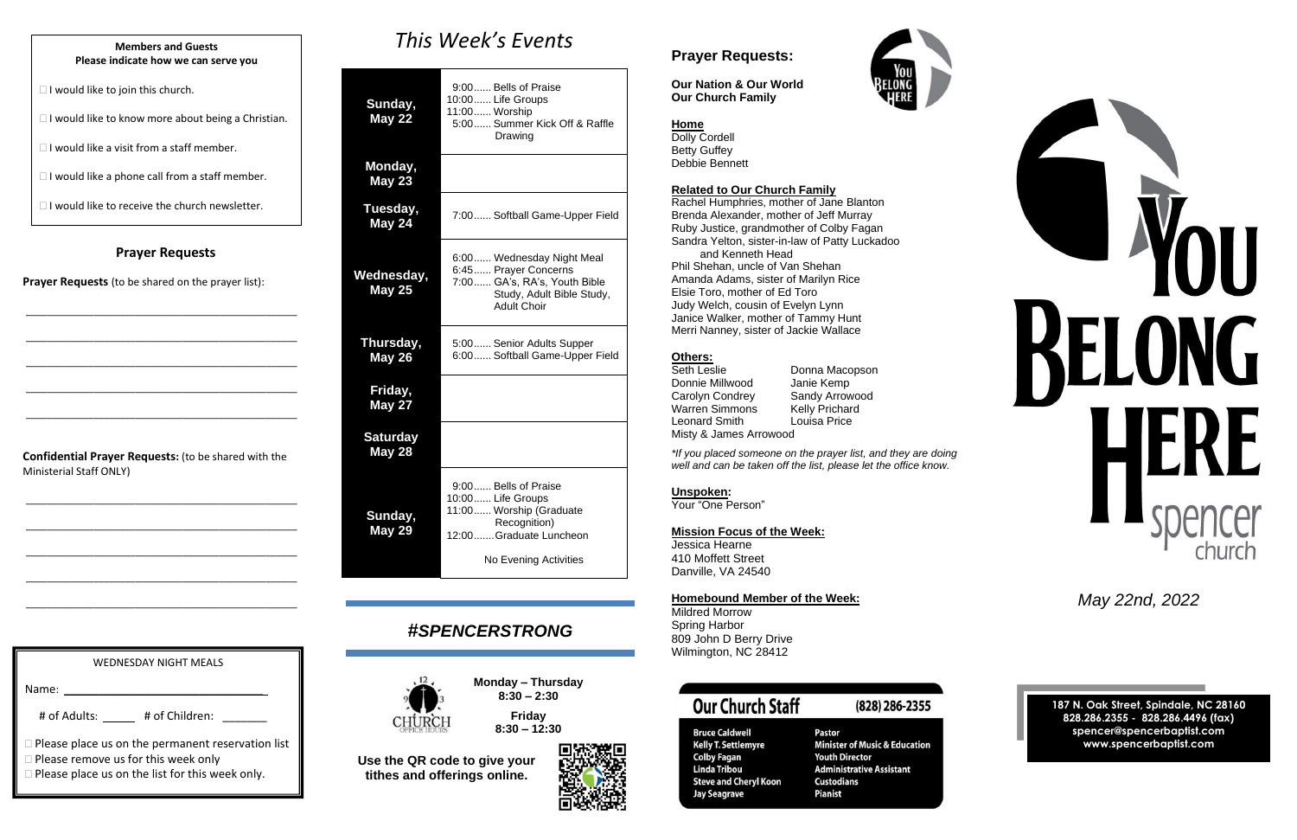### **Prayer Requests**

**Prayer Requests** (to be shared on the prayer list):

\_\_\_\_\_\_\_\_\_\_\_\_\_\_\_\_\_\_\_\_\_\_\_\_\_\_\_\_\_\_\_\_\_\_\_\_\_\_\_\_\_\_\_\_\_\_\_\_\_\_\_\_

\_\_\_\_\_\_\_\_\_\_\_\_\_\_\_\_\_\_\_\_\_\_\_\_\_\_\_\_\_\_\_\_\_\_\_\_\_\_\_\_\_\_\_\_\_\_\_\_\_\_\_\_

\_\_\_\_\_\_\_\_\_\_\_\_\_\_\_\_\_\_\_\_\_\_\_\_\_\_\_\_\_\_\_\_\_\_\_\_\_\_\_\_\_\_\_\_\_\_\_\_\_\_\_\_

\_\_\_\_\_\_\_\_\_\_\_\_\_\_\_\_\_\_\_\_\_\_\_\_\_\_\_\_\_\_\_\_\_\_\_\_\_\_\_\_\_\_\_\_\_\_\_\_\_\_\_\_

\_\_\_\_\_\_\_\_\_\_\_\_\_\_\_\_\_\_\_\_\_\_\_\_\_\_\_\_\_\_\_\_\_\_\_\_\_\_\_\_\_\_\_\_\_\_\_\_\_\_\_\_

**Confidential Prayer Requests:** (to be shared with the Ministerial Staff ONLY)

\_\_\_\_\_\_\_\_\_\_\_\_\_\_\_\_\_\_\_\_\_\_\_\_\_\_\_\_\_\_\_\_\_\_\_\_\_\_\_\_\_\_\_\_\_\_\_\_\_\_\_\_

\_\_\_\_\_\_\_\_\_\_\_\_\_\_\_\_\_\_\_\_\_\_\_\_\_\_\_\_\_\_\_\_\_\_\_\_\_\_\_\_\_\_\_\_\_\_\_\_\_\_\_\_

\_\_\_\_\_\_\_\_\_\_\_\_\_\_\_\_\_\_\_\_\_\_\_\_\_\_\_\_\_\_\_\_\_\_\_\_\_\_\_\_\_\_\_\_\_\_\_\_\_\_\_\_

\_\_\_\_\_\_\_\_\_\_\_\_\_\_\_\_\_\_\_\_\_\_\_\_\_\_\_\_\_\_\_\_\_\_\_\_\_\_\_\_\_\_\_\_\_\_\_\_\_\_\_\_

\_\_\_\_\_\_\_\_\_\_\_\_\_\_\_\_\_\_\_\_\_\_\_\_\_\_\_\_\_\_\_\_\_\_\_\_\_\_\_\_\_\_\_\_\_\_\_\_\_\_\_\_

# *This Week's Events*

| Sunday,<br><b>May 22</b>         | 9:00 Bells of Praise<br>10:00 Life Groups<br>11:00 Worship<br>5:00 Summer Kick Off & Raffle<br>Drawing                                  |
|----------------------------------|-----------------------------------------------------------------------------------------------------------------------------------------|
| Monday,<br><b>May 23</b>         |                                                                                                                                         |
| Tuesday,<br>May 24               | 7:00 Softball Game-Upper Field                                                                                                          |
| Wednesday,<br><b>May 25</b>      | 6:00 Wednesday Night Meal<br>6:45 Prayer Concerns<br>7:00 GA's, RA's, Youth Bible<br>Study, Adult Bible Study,<br><b>Adult Choir</b>    |
| Thursday,<br><b>May 26</b>       | 5:00 Senior Adults Supper<br>6:00 Softball Game-Upper Field                                                                             |
| Friday,<br>May 27                |                                                                                                                                         |
| <b>Saturday</b><br><b>May 28</b> |                                                                                                                                         |
| Sunday,<br><b>May 29</b>         | 9:00 Bells of Praise<br>10:00 Life Groups<br>11:00 Worship (Graduate<br>Recognition)<br>12:00Graduate Luncheon<br>No Evening Activities |

Seth Leslie **Donna Macopson** Donnie Millwood Janie Kemp Carolyn Condrey Sandy Arrowood<br>
Warren Simmons Kelly Prichard Warren Simmons Kelly Prichard<br>Leonard Smith Louisa Price Leonard Smith Misty & James Arrowood

# *#SPENCERSTRONG*



**Monday – Thursday 8:30 – 2:30**

# **Friday 8:30 – 12:30**





**Use the QR code to give your tithes and offerings online.**

WEDNESDAY NIGHT MEALS Name: # of Adults: \_\_\_\_\_ # of Children: \_\_\_\_\_\_ **Please place us on the permanent reservation list** 

□ Please remove us for this week only

**Please place us on the list for this week only.** 

## **Prayer Requests:**

**Our Nation & Our World Our Church Family**

### **Home**

Dolly Cordell Betty Guffey Debbie Bennett

#### **Related to Our Church Family**

Rachel Humphries, mother of Jane Blanton Brenda Alexander, mother of Jeff Murray Ruby Justice, grandmother of Colby Fagan Sandra Yelton, sister-in-law of Patty Luckadoo and Kenneth Head

Phil Shehan, uncle of Van Shehan Amanda Adams, sister of Marilyn Rice Elsie Toro, mother of Ed Toro Judy Welch, cousin of Evelyn Lynn Janice Walker, mother of Tammy Hunt Merri Nanney, sister of Jackie Wallace

### **Others:**

*\*If you placed someone on the prayer list, and they are doing well and can be taken off the list, please let the office know.*

**Unspoken:**

Your "One Person"

**Mission Focus of the Week:**

Jessica Hearne 410 Moffett Street Danville, VA 24540

### **Homebound Member of the Week:**

Mildred Morrow Spring Harbor 809 John D Berry Drive Wilmington, NC 28412

# **Our Church Staff**

## (828) 286-2355

**Bruce Caldwell** Bruce Calawen<br>Kelly T. Settlemyre **Colby Fagan Linda Tribou Steve and Cheryl Koon Jay Seagrave** 

**Pastor Minister of Music & Education Youth Director Administrative Assistant Custodians Pianist** 



*May 22nd, 2022*

**187 N. Oak Street, Spindale, NC 28160 828.286.2355 - 828.286.4496 (fax) spencer@spencerbaptist.com www.spencerbaptist.com**

#### **Members and Guests Please indicate how we can serve you**

 $\Box$  I would like to join this church.

 $\Box$  I would like to know more about being a Christian.

 $\Box$  I would like a visit from a staff member.

 $\Box$  I would like a phone call from a staff member.

 $\Box$  I would like to receive the church newsletter.